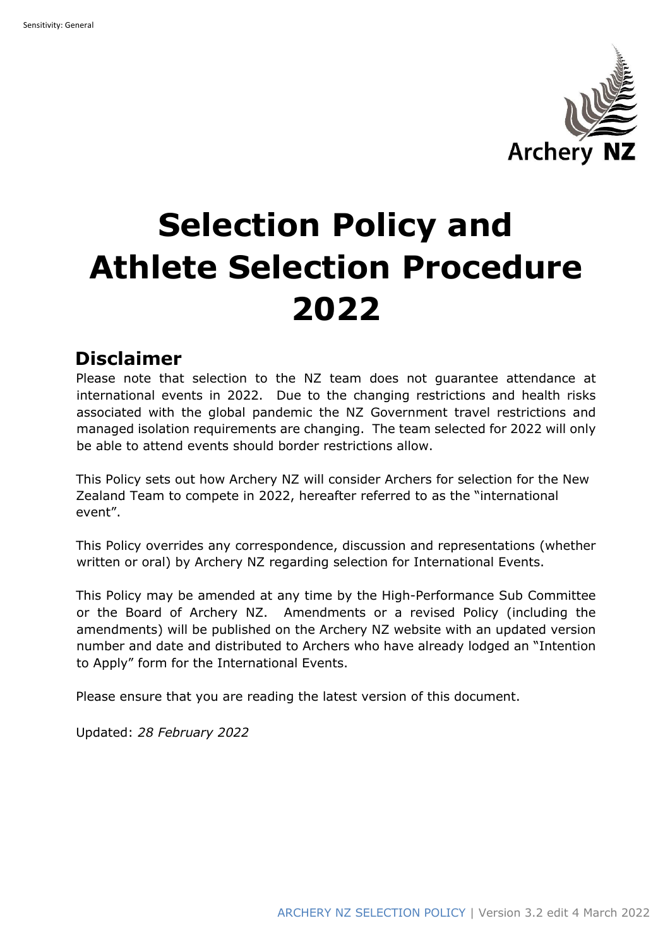

# **Selection Policy and Athlete Selection Procedure 2022**

# **Disclaimer**

Please note that selection to the NZ team does not guarantee attendance at international events in 2022. Due to the changing restrictions and health risks associated with the global pandemic the NZ Government travel restrictions and managed isolation requirements are changing. The team selected for 2022 will only be able to attend events should border restrictions allow.

This Policy sets out how Archery NZ will consider Archers for selection for the New Zealand Team to compete in 2022, hereafter referred to as the "international event".

This Policy overrides any correspondence, discussion and representations (whether written or oral) by Archery NZ regarding selection for International Events.

This Policy may be amended at any time by the High-Performance Sub Committee or the Board of Archery NZ. Amendments or a revised Policy (including the amendments) will be published on the Archery NZ website with an updated version number and date and distributed to Archers who have already lodged an "Intention to Apply" form for the International Events.

Please ensure that you are reading the latest version of this document.

Updated: *28 February 2022*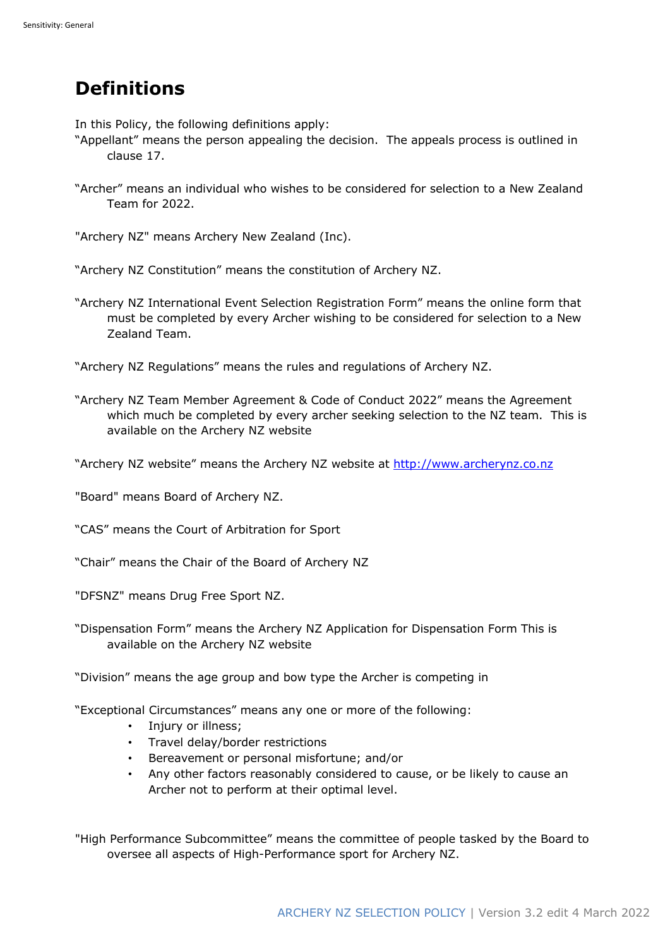# **Definitions**

In this Policy, the following definitions apply:

- "Appellant" means the person appealing the decision. The appeals process is outlined in clause 17.
- "Archer" means an individual who wishes to be considered for selection to a New Zealand Team for 2022.

"Archery NZ" means Archery New Zealand (Inc).

"Archery NZ Constitution" means the constitution of Archery NZ.

"Archery NZ International Event Selection Registration Form" means the online form that must be completed by every Archer wishing to be considered for selection to a New Zealand Team.

"Archery NZ Regulations" means the rules and regulations of Archery NZ.

"Archery NZ Team Member Agreement & Code of Conduct 2022" means the Agreement which much be completed by every archer seeking selection to the NZ team. This is available on the Archery NZ website

"Archery NZ website" means the Archery NZ website at http://www.archerynz.co.nz

"Board" means Board of Archery NZ.

"CAS" means the Court of Arbitration for Sport

"Chair" means the Chair of the Board of Archery NZ

"DFSNZ" means Drug Free Sport NZ.

"Dispensation Form" means the Archery NZ Application for Dispensation Form This is available on the Archery NZ website

"Division" means the age group and bow type the Archer is competing in

"Exceptional Circumstances" means any one or more of the following:

- Injury or illness;
- Travel delay/border restrictions
- Bereavement or personal misfortune; and/or
- Any other factors reasonably considered to cause, or be likely to cause an Archer not to perform at their optimal level.

"High Performance Subcommittee" means the committee of people tasked by the Board to oversee all aspects of High-Performance sport for Archery NZ.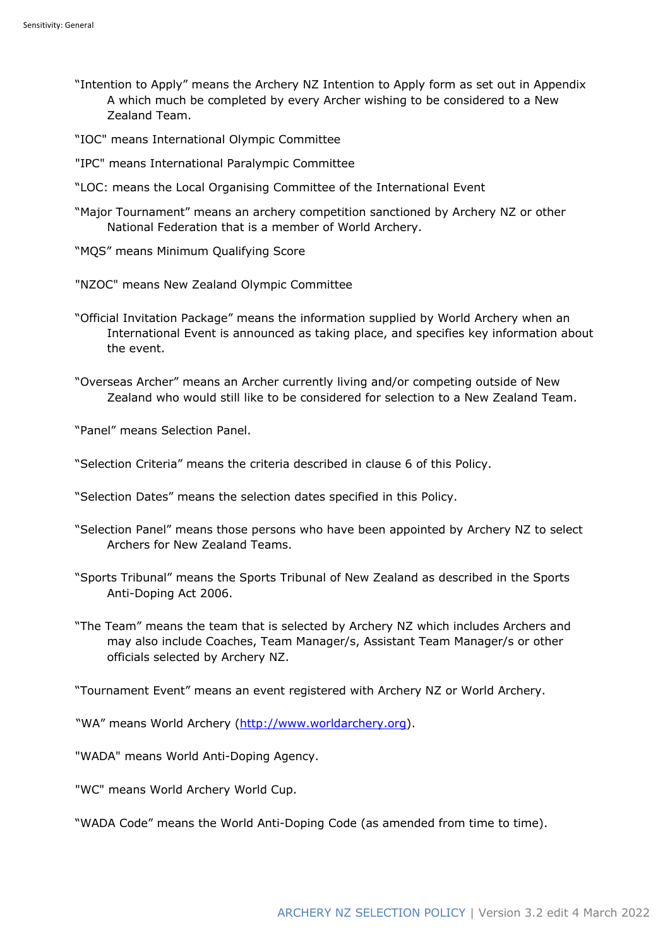- "Intention to Apply" means the Archery NZ Intention to Apply form as set out in Appendix A which much be completed by every Archer wishing to be considered to a New Zealand Team.
- "IOC" means International Olympic Committee
- "IPC" means International Paralympic Committee
- "LOC: means the Local Organising Committee of the International Event
- "Major Tournament" means an archery competition sanctioned by Archery NZ or other National Federation that is a member of World Archery.
- "MQS" means Minimum Qualifying Score
- "NZOC" means New Zealand Olympic Committee
- "Official Invitation Package" means the information supplied by World Archery when an International Event is announced as taking place, and specifies key information about the event.
- "Overseas Archer" means an Archer currently living and/or competing outside of New Zealand who would still like to be considered for selection to a New Zealand Team.

"Panel" means Selection Panel.

"Selection Criteria" means the criteria described in clause 6 of this Policy.

"Selection Dates" means the selection dates specified in this Policy.

- "Selection Panel" means those persons who have been appointed by Archery NZ to select Archers for New Zealand Teams.
- "Sports Tribunal" means the Sports Tribunal of New Zealand as described in the Sports Anti-Doping Act 2006.
- "The Team" means the team that is selected by Archery NZ which includes Archers and may also include Coaches, Team Manager/s, Assistant Team Manager/s or other officials selected by Archery NZ.

"Tournament Event" means an event registered with Archery NZ or World Archery.

"WA" means World Archery (http://www.worldarchery.org).

"WADA" means World Anti-Doping Agency.

"WC" means World Archery World Cup.

"WADA Code" means the World Anti-Doping Code (as amended from time to time).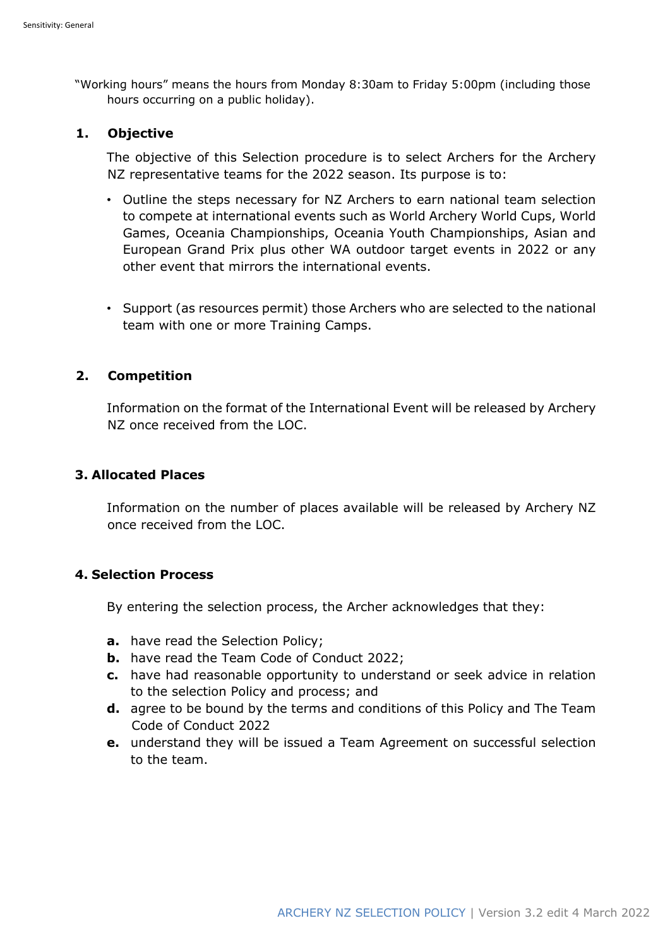"Working hours" means the hours from Monday 8:30am to Friday 5:00pm (including those hours occurring on a public holiday).

## **1. Objective**

The objective of this Selection procedure is to select Archers for the Archery NZ representative teams for the 2022 season. Its purpose is to:

- Outline the steps necessary for NZ Archers to earn national team selection to compete at international events such as World Archery World Cups, World Games, Oceania Championships, Oceania Youth Championships, Asian and European Grand Prix plus other WA outdoor target events in 2022 or any other event that mirrors the international events.
- Support (as resources permit) those Archers who are selected to the national team with one or more Training Camps.

# **2. Competition**

Information on the format of the International Event will be released by Archery NZ once received from the LOC.

## **3. Allocated Places**

Information on the number of places available will be released by Archery NZ once received from the LOC.

# **4. Selection Process**

By entering the selection process, the Archer acknowledges that they:

- **a.** have read the Selection Policy;
- **b.** have read the Team Code of Conduct 2022;
- **c.** have had reasonable opportunity to understand or seek advice in relation to the selection Policy and process; and
- **d.** agree to be bound by the terms and conditions of this Policy and The Team Code of Conduct 2022
- **e.** understand they will be issued a Team Agreement on successful selection to the team.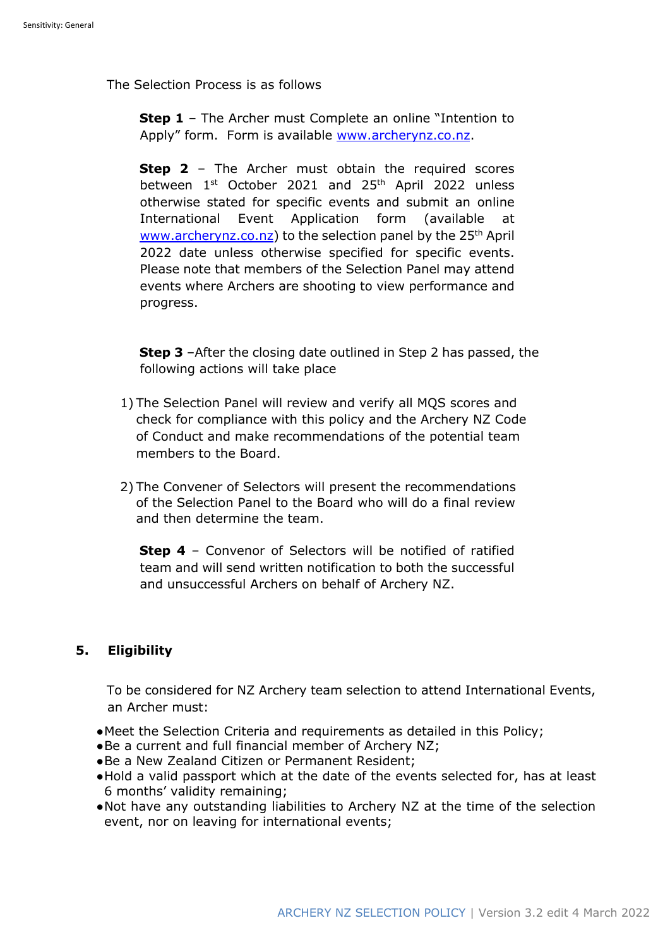The Selection Process is as follows

**Step 1** – The Archer must Complete an online "Intention to Apply" form. Form is available www.archerynz.co.nz.

**Step 2** – The Archer must obtain the required scores between 1<sup>st</sup> October 2021 and 25<sup>th</sup> April 2022 unless otherwise stated for specific events and submit an online International Event Application form (available at www.archerynz.co.nz) to the selection panel by the 25<sup>th</sup> April 2022 date unless otherwise specified for specific events. Please note that members of the Selection Panel may attend events where Archers are shooting to view performance and progress.

**Step 3** –After the closing date outlined in Step 2 has passed, the following actions will take place

- 1) The Selection Panel will review and verify all MQS scores and check for compliance with this policy and the Archery NZ Code of Conduct and make recommendations of the potential team members to the Board.
- 2) The Convener of Selectors will present the recommendations of the Selection Panel to the Board who will do a final review and then determine the team.

**Step 4** – Convenor of Selectors will be notified of ratified team and will send written notification to both the successful and unsuccessful Archers on behalf of Archery NZ.

## **5. Eligibility**

To be considered for NZ Archery team selection to attend International Events, an Archer must:

- ●Meet the Selection Criteria and requirements as detailed in this Policy;
- ●Be a current and full financial member of Archery NZ;
- ●Be a New Zealand Citizen or Permanent Resident;
- ●Hold a valid passport which at the date of the events selected for, has at least 6 months' validity remaining;
- ●Not have any outstanding liabilities to Archery NZ at the time of the selection event, nor on leaving for international events;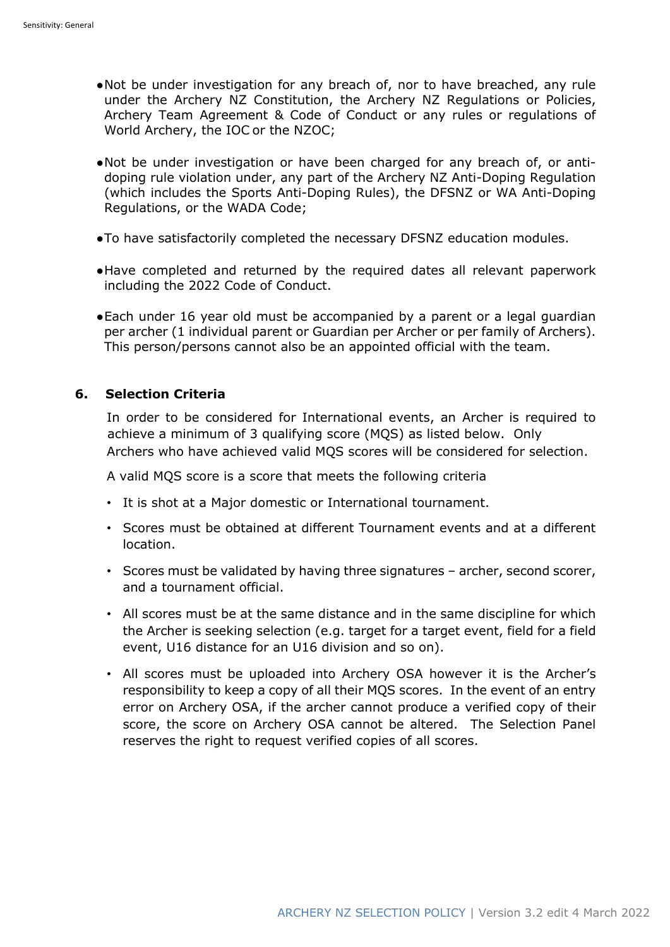- ●Not be under investigation for any breach of, nor to have breached, any rule under the Archery NZ Constitution, the Archery NZ Regulations or Policies, Archery Team Agreement & Code of Conduct or any rules or regulations of World Archery, the IOC or the NZOC;
- ●Not be under investigation or have been charged for any breach of, or antidoping rule violation under, any part of the Archery NZ Anti-Doping Regulation (which includes the Sports Anti-Doping Rules), the DFSNZ or WA Anti-Doping Regulations, or the WADA Code;
- ●To have satisfactorily completed the necessary DFSNZ education modules.
- ●Have completed and returned by the required dates all relevant paperwork including the 2022 Code of Conduct.
- ●Each under 16 year old must be accompanied by a parent or a legal guardian per archer (1 individual parent or Guardian per Archer or per family of Archers). This person/persons cannot also be an appointed official with the team.

#### **6. Selection Criteria**

In order to be considered for International events, an Archer is required to achieve a minimum of 3 qualifying score (MQS) as listed below. Only Archers who have achieved valid MQS scores will be considered for selection.

A valid MQS score is a score that meets the following criteria

- It is shot at a Major domestic or International tournament.
- Scores must be obtained at different Tournament events and at a different location.
- Scores must be validated by having three signatures archer, second scorer, and a tournament official.
- All scores must be at the same distance and in the same discipline for which the Archer is seeking selection (e.g. target for a target event, field for a field event, U16 distance for an U16 division and so on).
- All scores must be uploaded into Archery OSA however it is the Archer's responsibility to keep a copy of all their MQS scores. In the event of an entry error on Archery OSA, if the archer cannot produce a verified copy of their score, the score on Archery OSA cannot be altered. The Selection Panel reserves the right to request verified copies of all scores.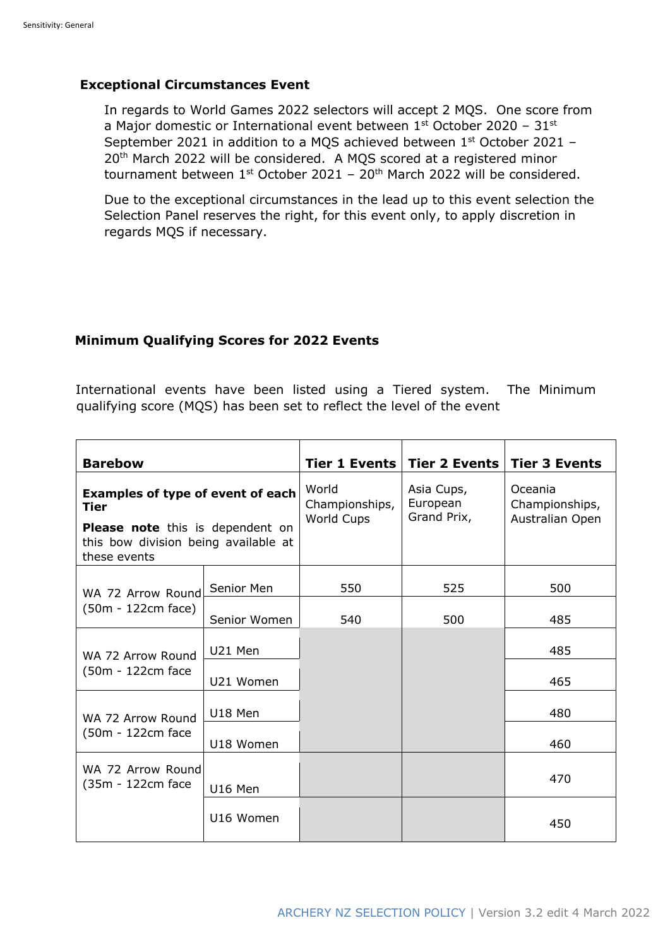## **Exceptional Circumstances Event**

In regards to World Games 2022 selectors will accept 2 MQS. One score from a Major domestic or International event between  $1<sup>st</sup>$  October 2020 – 31 $<sup>st</sup>$ </sup> September 2021 in addition to a MQS achieved between 1st October 2021 – 20<sup>th</sup> March 2022 will be considered. A MQS scored at a registered minor tournament between  $1^{st}$  October 2021 – 20<sup>th</sup> March 2022 will be considered.

Due to the exceptional circumstances in the lead up to this event selection the Selection Panel reserves the right, for this event only, to apply discretion in regards MQS if necessary.

## **Minimum Qualifying Scores for 2022 Events**

International events have been listed using a Tiered system. The Minimum qualifying score (MQS) has been set to reflect the level of the event

| <b>Barebow</b>                                                                                                                               |              | <b>Tier 1 Events</b>                  | <b>Tier 2 Events</b>                  | <b>Tier 3 Events</b>                         |
|----------------------------------------------------------------------------------------------------------------------------------------------|--------------|---------------------------------------|---------------------------------------|----------------------------------------------|
| Examples of type of event of each<br><b>Tier</b><br>Please note this is dependent on<br>this bow division being available at<br>these events |              | World<br>Championships,<br>World Cups | Asia Cups,<br>European<br>Grand Prix, | Oceania<br>Championships,<br>Australian Open |
| WA 72 Arrow Round<br>(50m - 122cm face)                                                                                                      | Senior Men   | 550                                   | 525                                   | 500                                          |
|                                                                                                                                              | Senior Women | 540                                   | 500                                   | 485                                          |
| WA 72 Arrow Round<br>(50m - 122cm face                                                                                                       | U21 Men      |                                       |                                       | 485                                          |
|                                                                                                                                              | U21 Women    |                                       |                                       | 465                                          |
| WA 72 Arrow Round<br>(50m - 122cm face                                                                                                       | U18 Men      |                                       |                                       | 480                                          |
|                                                                                                                                              | U18 Women    |                                       |                                       | 460                                          |
| WA 72 Arrow Round<br>(35m - 122cm face                                                                                                       | U16 Men      |                                       |                                       | 470                                          |
|                                                                                                                                              | U16 Women    |                                       |                                       | 450                                          |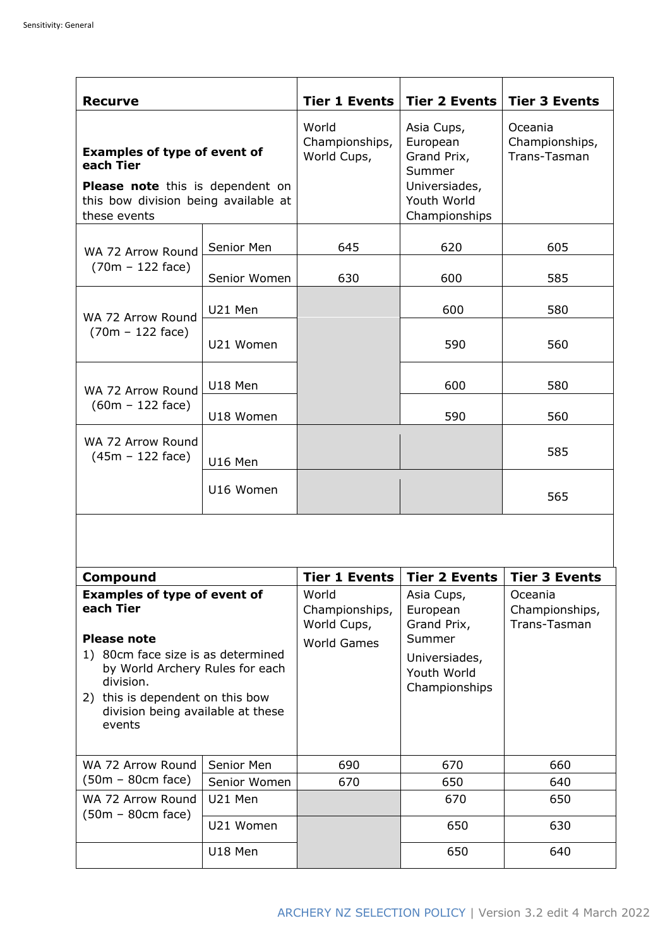| <b>Recurve</b>                                                                                                                               |              | <b>Tier 1 Events</b>                   | Tier 2 Events                                                                                    | <b>Tier 3 Events</b>                      |
|----------------------------------------------------------------------------------------------------------------------------------------------|--------------|----------------------------------------|--------------------------------------------------------------------------------------------------|-------------------------------------------|
| <b>Examples of type of event of</b><br>each Tier<br>Please note this is dependent on<br>this bow division being available at<br>these events |              | World<br>Championships,<br>World Cups, | Asia Cups,<br>European<br>Grand Prix,<br>Summer<br>Universiades,<br>Youth World<br>Championships | Oceania<br>Championships,<br>Trans-Tasman |
| WA 72 Arrow Round<br>$(70m - 122$ face)                                                                                                      | Senior Men   | 645                                    | 620                                                                                              | 605                                       |
|                                                                                                                                              | Senior Women | 630                                    | 600                                                                                              | 585                                       |
| WA 72 Arrow Round<br>$(70m - 122$ face)                                                                                                      | U21 Men      |                                        | 600                                                                                              | 580                                       |
|                                                                                                                                              | U21 Women    |                                        | 590                                                                                              | 560                                       |
| WA 72 Arrow Round<br>$(60m - 122$ face)                                                                                                      | U18 Men      |                                        | 600                                                                                              | 580                                       |
|                                                                                                                                              | U18 Women    |                                        | 590                                                                                              | 560                                       |
| WA 72 Arrow Round<br>$(45m - 122$ face)                                                                                                      | U16 Men      |                                        |                                                                                                  | 585                                       |
|                                                                                                                                              | U16 Women    |                                        |                                                                                                  | 565                                       |
|                                                                                                                                              |              |                                        |                                                                                                  |                                           |
| Compound                                                                                                                                     |              | <b>Tier 1 Events</b>                   | <b>Tier 2 Events</b>                                                                             | <b>Tier 3 Events</b>                      |
| <b>Examples of type of event of</b><br>each Tier<br><b>Please note</b>                                                                       |              | World<br>Championships,<br>World Cups, | Asia Cups,<br>European<br>Grand Prix,<br>Summer                                                  | Oceania<br>Championships,<br>Trans-Tasman |
| 1) 80cm face size is as determined<br>World Archami Dulco for                                                                                |              | <b>World Games</b>                     | Universiades,                                                                                    |                                           |

| г ісаэс посс<br>80cm face size is as determined<br>1)<br>by World Archery Rules for each<br>division.<br>2) this is dependent on this bow<br>division being available at these<br>events |              | World Games | Julillel<br>Universiades,<br>Youth World<br>Championships |     |
|------------------------------------------------------------------------------------------------------------------------------------------------------------------------------------------|--------------|-------------|-----------------------------------------------------------|-----|
| WA 72 Arrow Round<br>$(50m - 80cm$ face)                                                                                                                                                 | Senior Men   | 690         | 670                                                       | 660 |
|                                                                                                                                                                                          | Senior Women | 670         | 650                                                       | 640 |
| WA 72 Arrow Round<br>$(50m - 80cm$ face)                                                                                                                                                 | U21 Men      |             | 670                                                       | 650 |
|                                                                                                                                                                                          | U21 Women    |             | 650                                                       | 630 |
|                                                                                                                                                                                          | U18 Men      |             | 650                                                       | 640 |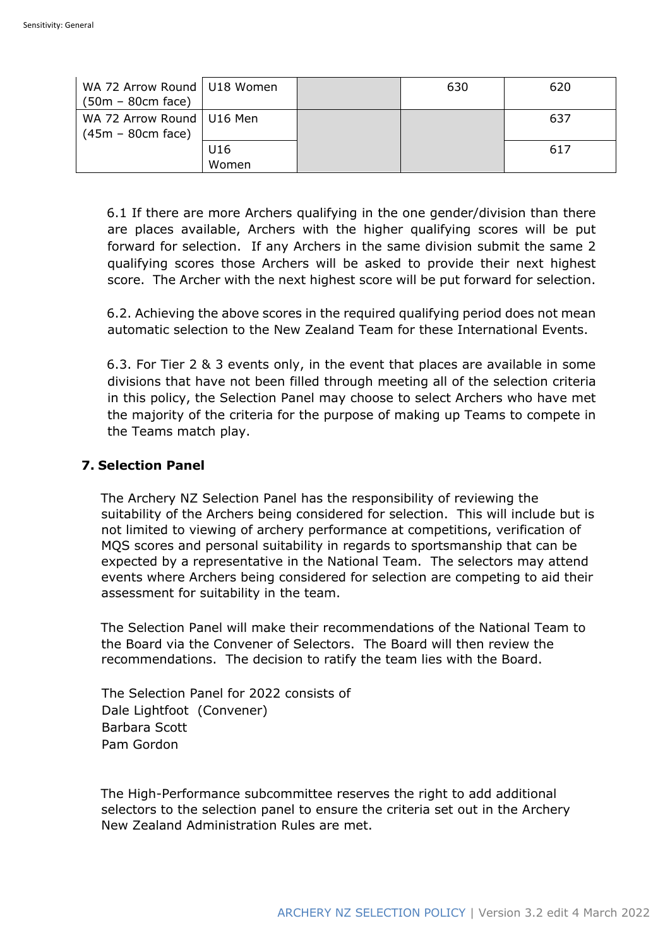| WA 72 Arrow Round   U18 Women<br>$(50m - 80cm$ face) |              | 630 | 620 |
|------------------------------------------------------|--------------|-----|-----|
| WA 72 Arrow Round   U16 Men<br>$(45m - 80cm$ face)   |              |     | 637 |
|                                                      | U16<br>Women |     | 617 |

6.1 If there are more Archers qualifying in the one gender/division than there are places available, Archers with the higher qualifying scores will be put forward for selection. If any Archers in the same division submit the same 2 qualifying scores those Archers will be asked to provide their next highest score. The Archer with the next highest score will be put forward for selection.

6.2. Achieving the above scores in the required qualifying period does not mean automatic selection to the New Zealand Team for these International Events.

6.3. For Tier 2 & 3 events only, in the event that places are available in some divisions that have not been filled through meeting all of the selection criteria in this policy, the Selection Panel may choose to select Archers who have met the majority of the criteria for the purpose of making up Teams to compete in the Teams match play.

# **7. Selection Panel**

The Archery NZ Selection Panel has the responsibility of reviewing the suitability of the Archers being considered for selection. This will include but is not limited to viewing of archery performance at competitions, verification of MQS scores and personal suitability in regards to sportsmanship that can be expected by a representative in the National Team. The selectors may attend events where Archers being considered for selection are competing to aid their assessment for suitability in the team.

The Selection Panel will make their recommendations of the National Team to the Board via the Convener of Selectors. The Board will then review the recommendations. The decision to ratify the team lies with the Board.

The Selection Panel for 2022 consists of Dale Lightfoot (Convener) Barbara Scott Pam Gordon

The High-Performance subcommittee reserves the right to add additional selectors to the selection panel to ensure the criteria set out in the Archery New Zealand Administration Rules are met.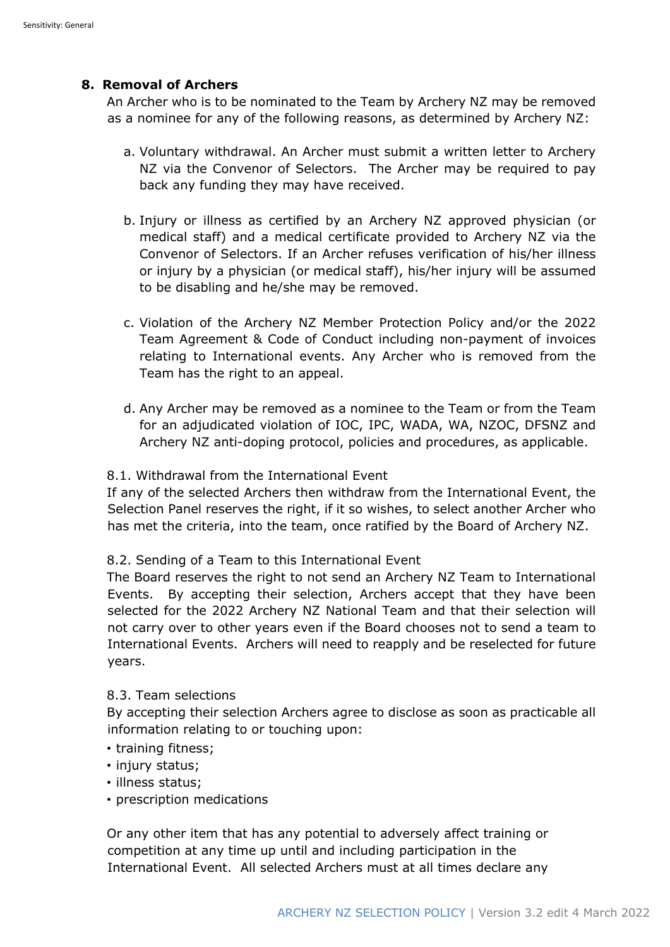# **8. Removal of Archers**

An Archer who is to be nominated to the Team by Archery NZ may be removed as a nominee for any of the following reasons, as determined by Archery NZ:

- a. Voluntary withdrawal. An Archer must submit a written letter to Archery NZ via the Convenor of Selectors. The Archer may be required to pay back any funding they may have received.
- b. Injury or illness as certified by an Archery NZ approved physician (or medical staff) and a medical certificate provided to Archery NZ via the Convenor of Selectors. If an Archer refuses verification of his/her illness or injury by a physician (or medical staff), his/her injury will be assumed to be disabling and he/she may be removed.
- c. Violation of the Archery NZ Member Protection Policy and/or the 2022 Team Agreement & Code of Conduct including non-payment of invoices relating to International events. Any Archer who is removed from the Team has the right to an appeal.
- d. Any Archer may be removed as a nominee to the Team or from the Team for an adjudicated violation of IOC, IPC, WADA, WA, NZOC, DFSNZ and Archery NZ anti-doping protocol, policies and procedures, as applicable.

# 8.1. Withdrawal from the International Event

If any of the selected Archers then withdraw from the International Event, the Selection Panel reserves the right, if it so wishes, to select another Archer who has met the criteria, into the team, once ratified by the Board of Archery NZ.

# 8.2. Sending of a Team to this International Event

The Board reserves the right to not send an Archery NZ Team to International Events. By accepting their selection, Archers accept that they have been selected for the 2022 Archery NZ National Team and that their selection will not carry over to other years even if the Board chooses not to send a team to International Events. Archers will need to reapply and be reselected for future years.

## 8.3. Team selections

By accepting their selection Archers agree to disclose as soon as practicable all information relating to or touching upon:

- training fitness;
- injury status;
- illness status;
- prescription medications

Or any other item that has any potential to adversely affect training or competition at any time up until and including participation in the International Event. All selected Archers must at all times declare any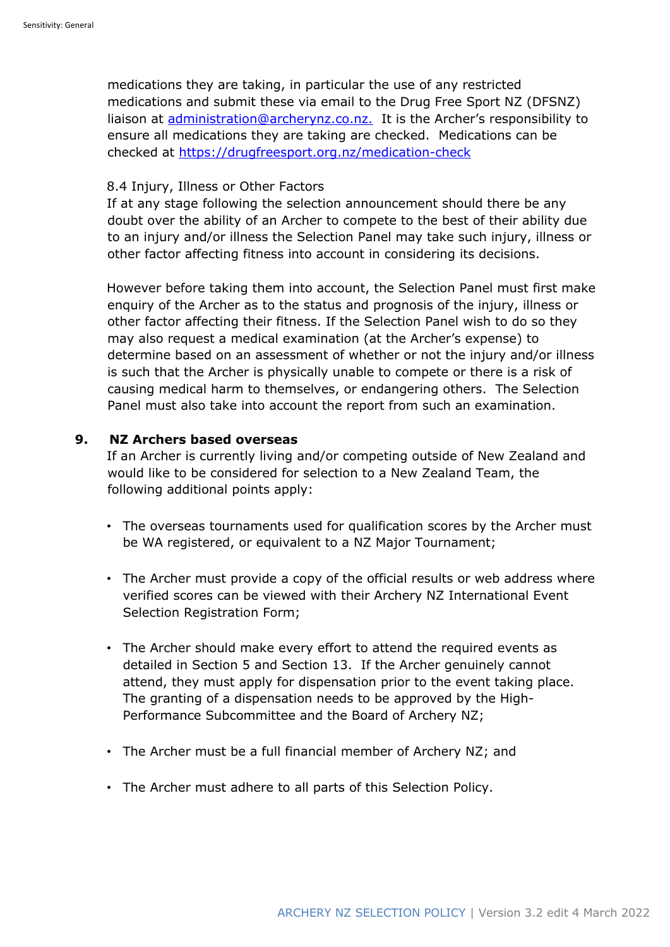medications they are taking, in particular the use of any restricted medications and submit these via email to the Drug Free Sport NZ (DFSNZ) liaison at administration@archerynz.co.nz. It is the Archer's responsibility to ensure all medications they are taking are checked. Medications can be checked at https://drugfreesport.org.nz/medication-check

#### 8.4 Injury, Illness or Other Factors

If at any stage following the selection announcement should there be any doubt over the ability of an Archer to compete to the best of their ability due to an injury and/or illness the Selection Panel may take such injury, illness or other factor affecting fitness into account in considering its decisions.

However before taking them into account, the Selection Panel must first make enquiry of the Archer as to the status and prognosis of the injury, illness or other factor affecting their fitness. If the Selection Panel wish to do so they may also request a medical examination (at the Archer's expense) to determine based on an assessment of whether or not the injury and/or illness is such that the Archer is physically unable to compete or there is a risk of causing medical harm to themselves, or endangering others. The Selection Panel must also take into account the report from such an examination.

# **9. NZ Archers based overseas**

If an Archer is currently living and/or competing outside of New Zealand and would like to be considered for selection to a New Zealand Team, the following additional points apply:

- The overseas tournaments used for qualification scores by the Archer must be WA registered, or equivalent to a NZ Major Tournament;
- The Archer must provide a copy of the official results or web address where verified scores can be viewed with their Archery NZ International Event Selection Registration Form;
- The Archer should make every effort to attend the required events as detailed in Section 5 and Section 13. If the Archer genuinely cannot attend, they must apply for dispensation prior to the event taking place. The granting of a dispensation needs to be approved by the High-Performance Subcommittee and the Board of Archery NZ;
- The Archer must be a full financial member of Archery NZ; and
- The Archer must adhere to all parts of this Selection Policy.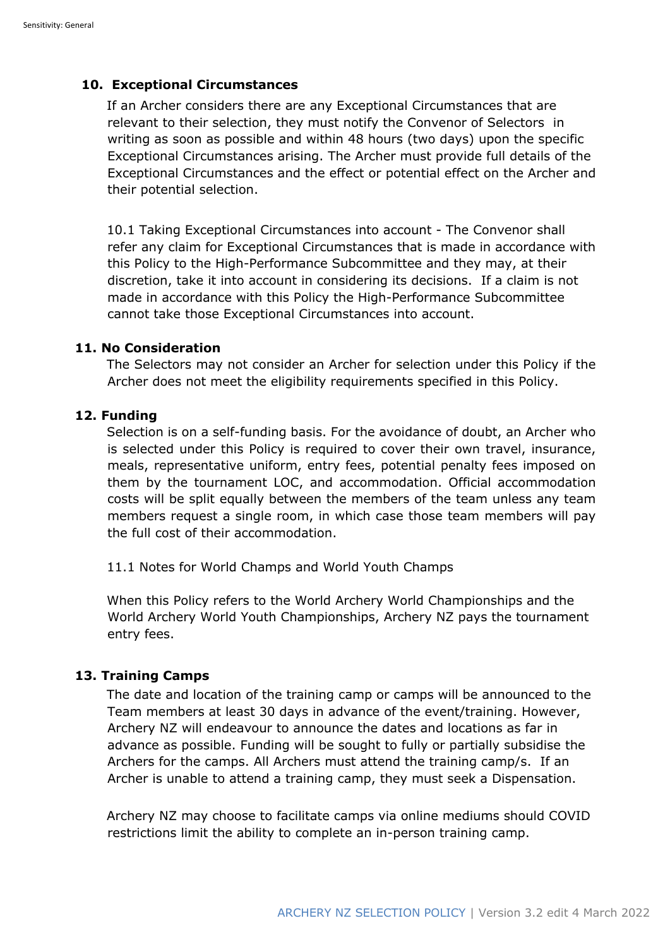#### **10. Exceptional Circumstances**

If an Archer considers there are any Exceptional Circumstances that are relevant to their selection, they must notify the Convenor of Selectors in writing as soon as possible and within 48 hours (two days) upon the specific Exceptional Circumstances arising. The Archer must provide full details of the Exceptional Circumstances and the effect or potential effect on the Archer and their potential selection.

10.1 Taking Exceptional Circumstances into account - The Convenor shall refer any claim for Exceptional Circumstances that is made in accordance with this Policy to the High-Performance Subcommittee and they may, at their discretion, take it into account in considering its decisions. If a claim is not made in accordance with this Policy the High-Performance Subcommittee cannot take those Exceptional Circumstances into account.

#### **11. No Consideration**

The Selectors may not consider an Archer for selection under this Policy if the Archer does not meet the eligibility requirements specified in this Policy.

# **12. Funding**

Selection is on a self-funding basis. For the avoidance of doubt, an Archer who is selected under this Policy is required to cover their own travel, insurance, meals, representative uniform, entry fees, potential penalty fees imposed on them by the tournament LOC, and accommodation. Official accommodation costs will be split equally between the members of the team unless any team members request a single room, in which case those team members will pay the full cost of their accommodation.

11.1 Notes for World Champs and World Youth Champs

When this Policy refers to the World Archery World Championships and the World Archery World Youth Championships, Archery NZ pays the tournament entry fees.

## **13. Training Camps**

The date and location of the training camp or camps will be announced to the Team members at least 30 days in advance of the event/training. However, Archery NZ will endeavour to announce the dates and locations as far in advance as possible. Funding will be sought to fully or partially subsidise the Archers for the camps. All Archers must attend the training camp/s. If an Archer is unable to attend a training camp, they must seek a Dispensation.

Archery NZ may choose to facilitate camps via online mediums should COVID restrictions limit the ability to complete an in-person training camp.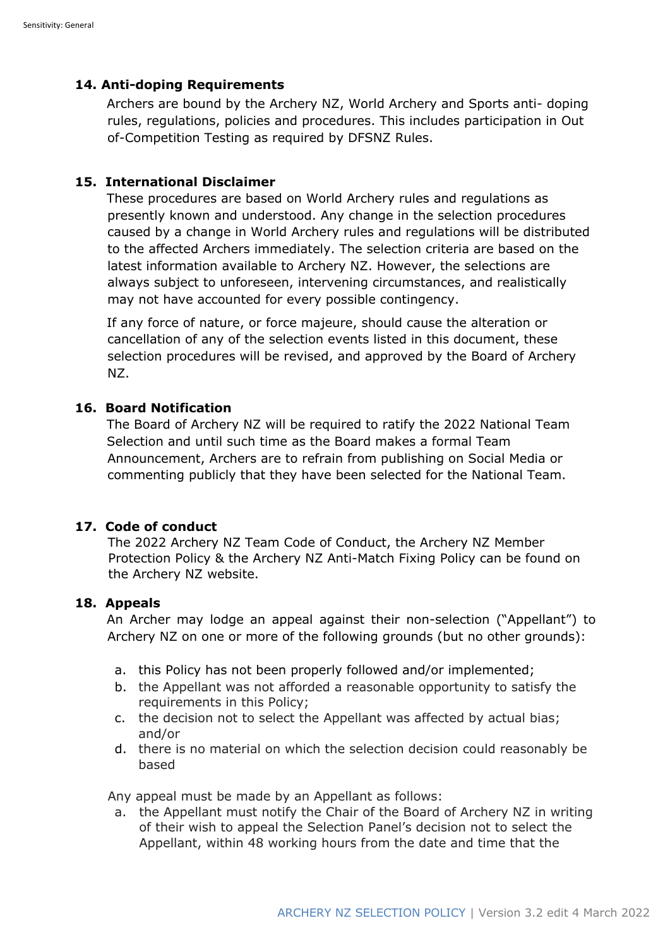# **14. Anti-doping Requirements**

Archers are bound by the Archery NZ, World Archery and Sports anti- doping rules, regulations, policies and procedures. This includes participation in Out of-Competition Testing as required by DFSNZ Rules.

# **15. International Disclaimer**

These procedures are based on World Archery rules and regulations as presently known and understood. Any change in the selection procedures caused by a change in World Archery rules and regulations will be distributed to the affected Archers immediately. The selection criteria are based on the latest information available to Archery NZ. However, the selections are always subject to unforeseen, intervening circumstances, and realistically may not have accounted for every possible contingency.

If any force of nature, or force majeure, should cause the alteration or cancellation of any of the selection events listed in this document, these selection procedures will be revised, and approved by the Board of Archery NZ.

# **16. Board Notification**

The Board of Archery NZ will be required to ratify the 2022 National Team Selection and until such time as the Board makes a formal Team Announcement, Archers are to refrain from publishing on Social Media or commenting publicly that they have been selected for the National Team.

## **17. Code of conduct**

The 2022 Archery NZ Team Code of Conduct, the Archery NZ Member Protection Policy & the Archery NZ Anti-Match Fixing Policy can be found on the Archery NZ website.

## **18. Appeals**

An Archer may lodge an appeal against their non-selection ("Appellant") to Archery NZ on one or more of the following grounds (but no other grounds):

- a. this Policy has not been properly followed and/or implemented;
- b. the Appellant was not afforded a reasonable opportunity to satisfy the requirements in this Policy;
- c. the decision not to select the Appellant was affected by actual bias; and/or
- d. there is no material on which the selection decision could reasonably be based

Any appeal must be made by an Appellant as follows:

a. the Appellant must notify the Chair of the Board of Archery NZ in writing of their wish to appeal the Selection Panel's decision not to select the Appellant, within 48 working hours from the date and time that the